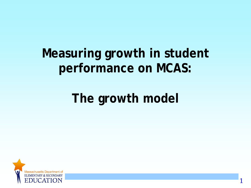## **Measuring growth in student performance on MCAS:**

# **The growth model**

1

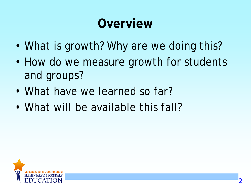# **Overview**

- What is growth? Why are we doing this?
- How do we measure growth for students and groups?
- What have we learned so far?
- What will be available this fall?

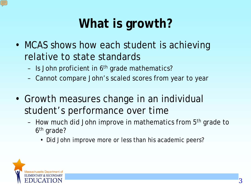# **What is growth?**

- MCAS shows how each student is achieving relative to state standards
	- Is John proficient in  $6<sup>th</sup>$  grade mathematics?
	- Cannot compare John's scaled scores from year to year
- Growth measures change in an individual student's performance over time
	- How much did John improve in mathematics from 5<sup>th</sup> grade to 6th grade?
		- Did John improve more or less than his academic peers?

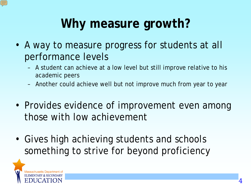# **Why measure growth?**

- A way to measure progress for students at all performance levels
	- A student can achieve at a low level but still improve relative to his academic peers
	- Another could achieve well but not improve much from year to year
- Provides evidence of improvement even among those with low achievement
- Gives high achieving students and schools something to strive for beyond proficiency

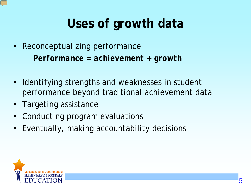# **Uses of growth data**

- Reconceptualizing performance *Performance = achievement + growth*
- Identifying strengths and weaknesses in student performance beyond traditional achievement data
- Targeting assistance
- Conducting program evaluations
- Eventually, making accountability decisions

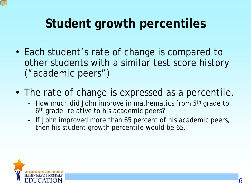# **Student growth percentiles**

- Each student's rate of change is compared to other students with a similar test score history ("academic peers")
- The rate of change is expressed as a percentile.
	- How much did John improve in mathematics from 5<sup>th</sup> grade to 6<sup>th</sup> grade, relative to his academic peers?
	- If John improved more than 65 percent of his academic peers, then his student growth percentile would be 65.

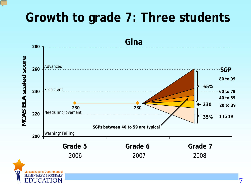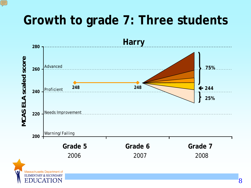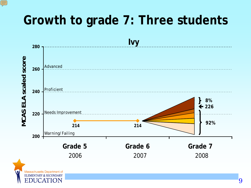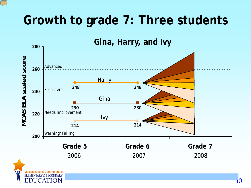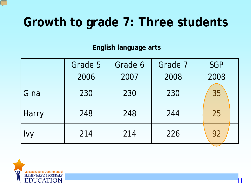**English language arts**

|              | Grade 5 | Grade 6 | Grade 7 | <b>SGP</b> |
|--------------|---------|---------|---------|------------|
|              | 2006    | 2007    | 2008    | 2008       |
| Gina         | 230     | 230     | 230     | 35         |
| <b>Harry</b> | 248     | 248     | 244     | 25         |
| <b>Ivy</b>   | 214     | 214     | 226     | 92         |

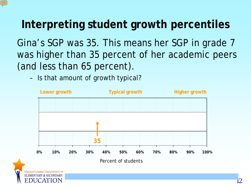#### **Interpreting student growth percentiles**

Gina's SGP was 35. This means her SGP in grade 7 was higher than 35 percent of her academic peers (and less than 65 percent).

– Is that amount of growth typical?

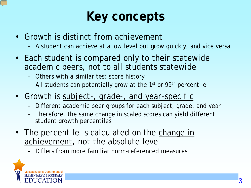## **Key concepts**

- Growth is *distinct from achievement*
	- A student can achieve at a low level but grow quickly, and vice versa
- Each student is compared only to their *statewide academic peers*, not to all students statewide
	- Others with a similar test score history
	- All students can potentially grow at the  $1<sup>st</sup>$  or 99<sup>th</sup> percentile
- Growth is *subject-, grade-, and year-specific*
	- Different academic peer groups for each subject, grade, and year
	- Therefore, the same change in scaled scores can yield different student growth percentiles
- The percentile is calculated on the *change in achievement*, not the absolute level
	- Differs from more familiar norm-referenced measures

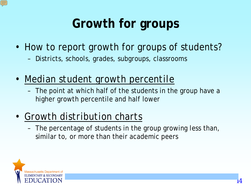# **Growth for groups**

- How to report growth for groups of students?
	- Districts, schools, grades, subgroups, classrooms
- *Median student growth percentile*
	- The point at which half of the students in the group have a higher growth percentile and half lower
- *Growth distribution charts*
	- The percentage of students in the group growing less than, similar to, or more than their academic peers

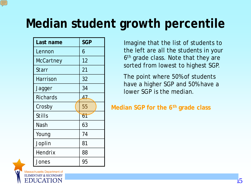# **Median student growth percentile**

| Last name        | <b>SGP</b> |
|------------------|------------|
| Lennon           | 6          |
| <b>McCartney</b> | 12         |
| Starr            | 21         |
| <b>Harrison</b>  | 32         |
| Jagger           | 34         |
| <b>Richards</b>  | 47         |
| Crosby           | 55         |
| <b>Stills</b>    | 61         |
| Nash             | 63         |
| Young            | 74         |
| Joplin           | 81         |
| Hendrix          | 88         |
| Jones            | 95         |

Imagine that the list of students to the left are all the students in your 6<sup>th</sup> grade class. Note that they are sorted from lowest to highest SGP.

The point where 50% of students have a higher SGP and 50% have a lower SGP is the median.

**Median SGP for the 6th grade class**

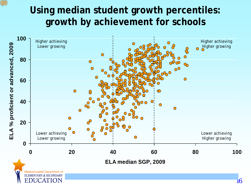#### **Using median student growth percentiles: growth by achievement for schools**

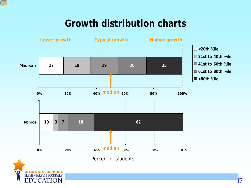#### **Growth distribution charts**



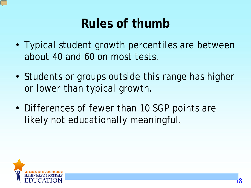# **Rules of thumb**

- Typical student growth percentiles are between about 40 and 60 on most tests.
- Students or groups outside this range has higher or lower than typical growth.
- Differences of fewer than 10 SGP points are likely not educationally meaningful.

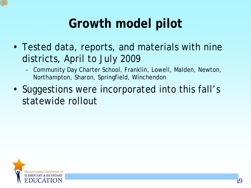# **Growth model pilot**

- Tested data, reports, and materials with nine districts, April to July 2009
	- Community Day Charter School, Franklin, Lowell, Malden, Newton, Northampton, Sharon, Springfield, Winchendon
- Suggestions were incorporated into this fall's statewide rollout

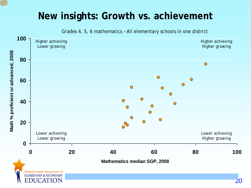#### **New insights: Growth vs. achievement**

Ę

Grades 4, 5, 6 mathematics – All elementary schools in one district

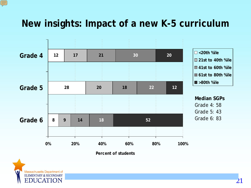#### **New insights: Impact of a new K-5 curriculum**



**Percent of students**



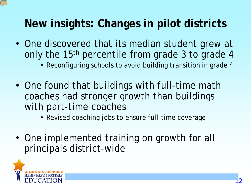#### **New insights: Changes in pilot districts**

- One discovered that its median student grew at only the 15<sup>th</sup> percentile from grade 3 to grade 4
	- Reconfiguring schools to avoid building transition in grade 4
- One found that buildings with full-time math coaches had stronger growth than buildings with part-time coaches
	- Revised coaching jobs to ensure full-time coverage
- One implemented training on growth for all principals district-wide

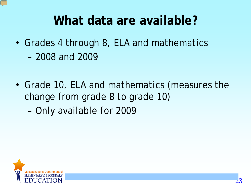

- Grades 4 through 8, ELA and mathematics
	- 2008 and 2009
- Grade 10, ELA and mathematics (measures the change from grade 8 to grade 10)
	- Only available for 2009

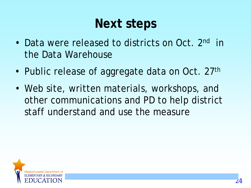## **Next steps**

- Data were released to districts on Oct. 2nd in the Data Warehouse
- Public release of aggregate data on Oct. 27<sup>th</sup>
- Web site, written materials, workshops, and other communications and PD to help district staff understand and use the measure